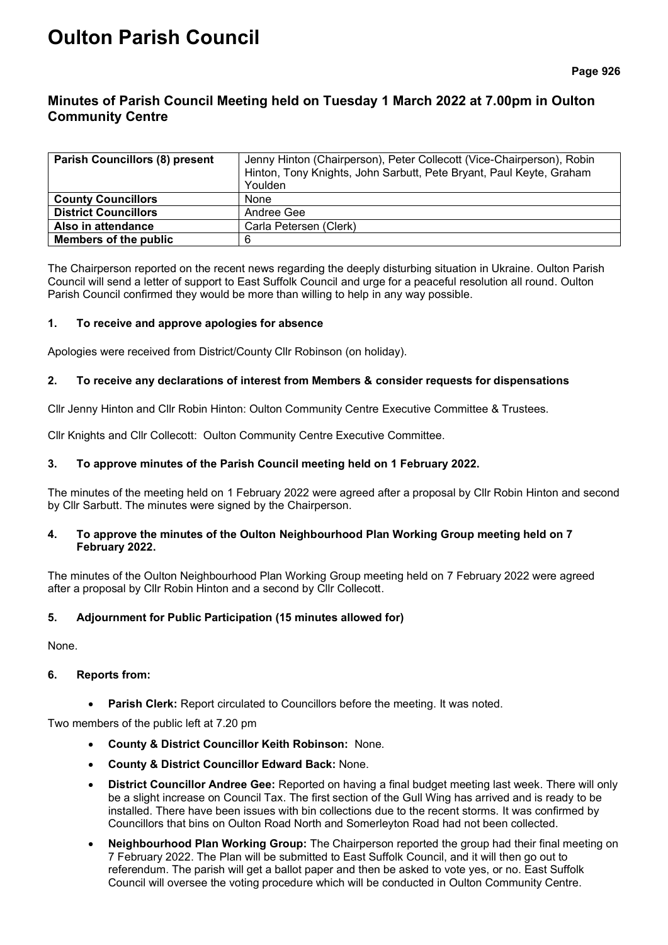# **Oulton Parish Council**

# **Minutes of Parish Council Meeting held on Tuesday 1 March 2022 at 7.00pm in Oulton Community Centre**

| <b>Parish Councillors (8) present</b> | Jenny Hinton (Chairperson), Peter Collecott (Vice-Chairperson), Robin<br>Hinton, Tony Knights, John Sarbutt, Pete Bryant, Paul Keyte, Graham<br>Youlden |
|---------------------------------------|---------------------------------------------------------------------------------------------------------------------------------------------------------|
| <b>County Councillors</b>             | None                                                                                                                                                    |
| <b>District Councillors</b>           | Andree Gee                                                                                                                                              |
| Also in attendance                    | Carla Petersen (Clerk)                                                                                                                                  |
| Members of the public                 | 6                                                                                                                                                       |

The Chairperson reported on the recent news regarding the deeply disturbing situation in Ukraine. Oulton Parish Council will send a letter of support to East Suffolk Council and urge for a peaceful resolution all round. Oulton Parish Council confirmed they would be more than willing to help in any way possible.

# **1. To receive and approve apologies for absence**

Apologies were received from District/County Cllr Robinson (on holiday).

#### **2. To receive any declarations of interest from Members & consider requests for dispensations**

Cllr Jenny Hinton and Cllr Robin Hinton: Oulton Community Centre Executive Committee & Trustees.

Cllr Knights and Cllr Collecott: Oulton Community Centre Executive Committee.

#### **3. To approve minutes of the Parish Council meeting held on 1 February 2022.**

The minutes of the meeting held on 1 February 2022 were agreed after a proposal by Cllr Robin Hinton and second by Cllr Sarbutt. The minutes were signed by the Chairperson.

#### **4. To approve the minutes of the Oulton Neighbourhood Plan Working Group meeting held on 7 February 2022.**

The minutes of the Oulton Neighbourhood Plan Working Group meeting held on 7 February 2022 were agreed after a proposal by Cllr Robin Hinton and a second by Cllr Collecott.

# **5. Adjournment for Public Participation (15 minutes allowed for)**

None.

# **6. Reports from:**

Parish Clerk: Report circulated to Councillors before the meeting. It was noted.

Two members of the public left at 7.20 pm

- **County & District Councillor Keith Robinson:** None.
- **County & District Councillor Edward Back:** None.
- **District Councillor Andree Gee:** Reported on having a final budget meeting last week. There will only be a slight increase on Council Tax. The first section of the Gull Wing has arrived and is ready to be installed. There have been issues with bin collections due to the recent storms. It was confirmed by Councillors that bins on Oulton Road North and Somerleyton Road had not been collected.
- **Neighbourhood Plan Working Group:** The Chairperson reported the group had their final meeting on 7 February 2022. The Plan will be submitted to East Suffolk Council, and it will then go out to referendum. The parish will get a ballot paper and then be asked to vote yes, or no. East Suffolk Council will oversee the voting procedure which will be conducted in Oulton Community Centre.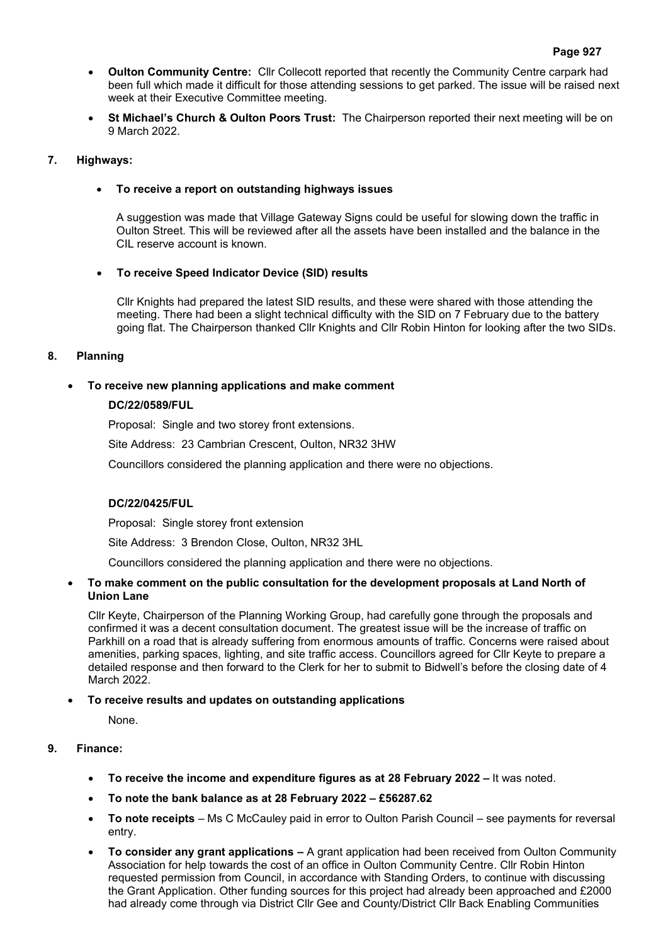- **Oulton Community Centre:** Cllr Collecott reported that recently the Community Centre carpark had been full which made it difficult for those attending sessions to get parked. The issue will be raised next week at their Executive Committee meeting.
- **St Michael's Church & Oulton Poors Trust:** The Chairperson reported their next meeting will be on 9 March 2022.

# **7. Highways:**

#### • **To receive a report on outstanding highways issues**

A suggestion was made that Village Gateway Signs could be useful for slowing down the traffic in Oulton Street. This will be reviewed after all the assets have been installed and the balance in the CIL reserve account is known.

#### • **To receive Speed Indicator Device (SID) results**

Cllr Knights had prepared the latest SID results, and these were shared with those attending the meeting. There had been a slight technical difficulty with the SID on 7 February due to the battery going flat. The Chairperson thanked Cllr Knights and Cllr Robin Hinton for looking after the two SIDs.

#### **8. Planning**

# • **To receive new planning applications and make comment**

#### **DC/22/0589/FUL**

Proposal: Single and two storey front extensions.

Site Address: 23 Cambrian Crescent, Oulton, NR32 3HW

Councillors considered the planning application and there were no objections.

# **DC/22/0425/FUL**

Proposal: Single storey front extension

Site Address: 3 Brendon Close, Oulton, NR32 3HL

Councillors considered the planning application and there were no objections.

#### • **To make comment on the public consultation for the development proposals at Land North of Union Lane**

Cllr Keyte, Chairperson of the Planning Working Group, had carefully gone through the proposals and confirmed it was a decent consultation document. The greatest issue will be the increase of traffic on Parkhill on a road that is already suffering from enormous amounts of traffic. Concerns were raised about amenities, parking spaces, lighting, and site traffic access. Councillors agreed for Cllr Keyte to prepare a detailed response and then forward to the Clerk for her to submit to Bidwell's before the closing date of 4 March 2022.

# • **To receive results and updates on outstanding applications**

None.

# **9. Finance:**

- **To receive the income and expenditure figures as at 28 February 2022 –** It was noted.
- **To note the bank balance as at 28 February 2022 – £56287.62**
- **To note receipts** Ms C McCauley paid in error to Oulton Parish Council see payments for reversal entry.
- **To consider any grant applications –** A grant application had been received from Oulton Community Association for help towards the cost of an office in Oulton Community Centre. Cllr Robin Hinton requested permission from Council, in accordance with Standing Orders, to continue with discussing the Grant Application. Other funding sources for this project had already been approached and £2000 had already come through via District Cllr Gee and County/District Cllr Back Enabling Communities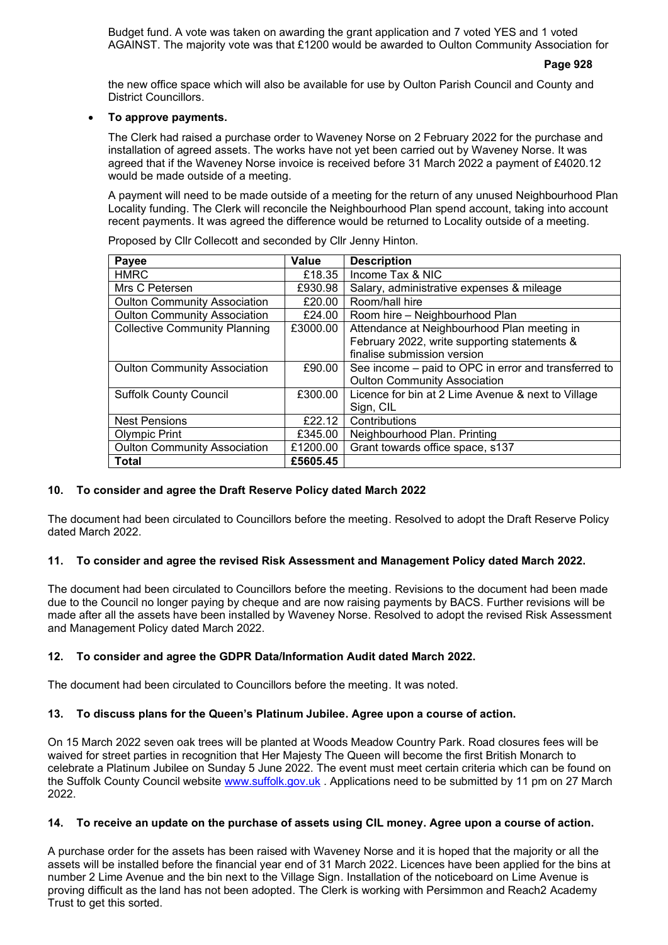Budget fund. A vote was taken on awarding the grant application and 7 voted YES and 1 voted AGAINST. The majority vote was that £1200 would be awarded to Oulton Community Association for

#### **Page 928**

the new office space which will also be available for use by Oulton Parish Council and County and District Councillors.

#### • **To approve payments.**

The Clerk had raised a purchase order to Waveney Norse on 2 February 2022 for the purchase and installation of agreed assets. The works have not yet been carried out by Waveney Norse. It was agreed that if the Waveney Norse invoice is received before 31 March 2022 a payment of £4020.12 would be made outside of a meeting.

A payment will need to be made outside of a meeting for the return of any unused Neighbourhood Plan Locality funding. The Clerk will reconcile the Neighbourhood Plan spend account, taking into account recent payments. It was agreed the difference would be returned to Locality outside of a meeting.

| Payee                                | Value    | <b>Description</b>                                   |
|--------------------------------------|----------|------------------------------------------------------|
| <b>HMRC</b>                          | £18.35   | Income Tax & NIC                                     |
| Mrs C Petersen                       | £930.98  | Salary, administrative expenses & mileage            |
| <b>Oulton Community Association</b>  | £20.00   | Room/hall hire                                       |
| <b>Oulton Community Association</b>  | £24.00   | Room hire - Neighbourhood Plan                       |
| <b>Collective Community Planning</b> | £3000.00 | Attendance at Neighbourhood Plan meeting in          |
|                                      |          | February 2022, write supporting statements &         |
|                                      |          | finalise submission version                          |
| <b>Oulton Community Association</b>  | £90.00   | See income – paid to OPC in error and transferred to |
|                                      |          | <b>Oulton Community Association</b>                  |
| <b>Suffolk County Council</b>        | £300.00  | Licence for bin at 2 Lime Avenue & next to Village   |
|                                      |          | Sign, CIL                                            |
| <b>Nest Pensions</b>                 | £22.12   | Contributions                                        |
| Olympic Print                        | £345.00  | Neighbourhood Plan. Printing                         |
| <b>Oulton Community Association</b>  | £1200.00 | Grant towards office space, s137                     |
| Total                                | £5605.45 |                                                      |

Proposed by Cllr Collecott and seconded by Cllr Jenny Hinton.

# **10. To consider and agree the Draft Reserve Policy dated March 2022**

The document had been circulated to Councillors before the meeting. Resolved to adopt the Draft Reserve Policy dated March 2022.

# **11. To consider and agree the revised Risk Assessment and Management Policy dated March 2022.**

The document had been circulated to Councillors before the meeting. Revisions to the document had been made due to the Council no longer paying by cheque and are now raising payments by BACS. Further revisions will be made after all the assets have been installed by Waveney Norse. Resolved to adopt the revised Risk Assessment and Management Policy dated March 2022.

# **12. To consider and agree the GDPR Data/Information Audit dated March 2022.**

The document had been circulated to Councillors before the meeting. It was noted.

# **13. To discuss plans for the Queen's Platinum Jubilee. Agree upon a course of action.**

On 15 March 2022 seven oak trees will be planted at Woods Meadow Country Park. Road closures fees will be waived for street parties in recognition that Her Majesty The Queen will become the first British Monarch to celebrate a Platinum Jubilee on Sunday 5 June 2022. The event must meet certain criteria which can be found on the Suffolk County Council website [www.suffolk.gov.uk](http://www.suffolk.gov.uk/) . Applications need to be submitted by 11 pm on 27 March 2022.

#### **14. To receive an update on the purchase of assets using CIL money. Agree upon a course of action.**

A purchase order for the assets has been raised with Waveney Norse and it is hoped that the majority or all the assets will be installed before the financial year end of 31 March 2022. Licences have been applied for the bins at number 2 Lime Avenue and the bin next to the Village Sign. Installation of the noticeboard on Lime Avenue is proving difficult as the land has not been adopted. The Clerk is working with Persimmon and Reach2 Academy Trust to get this sorted.